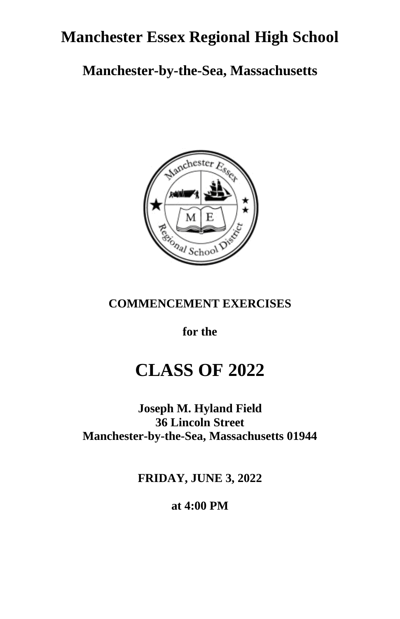## **Manchester Essex Regional High School**

**Manchester-by-the-Sea, Massachusetts**



### **COMMENCEMENT EXERCISES**

**for the**

## **CLASS OF 2022**

**Joseph M. Hyland Field 36 Lincoln Street Manchester-by-the-Sea, Massachusetts 01944**

**FRIDAY, JUNE 3, 2022**

**at 4:00 PM**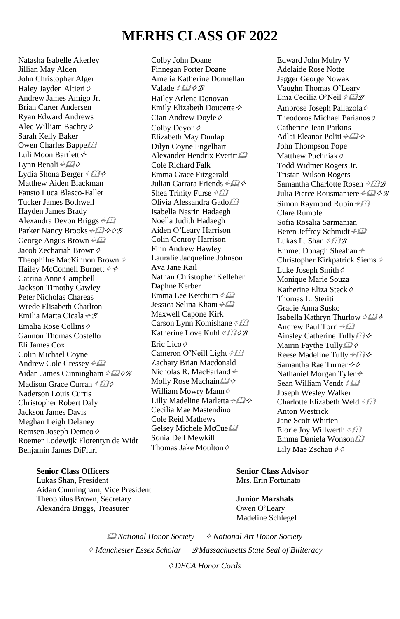## **MERHS CLASS OF 2022**

Natasha Isabelle Akerley Jillian May Alden John Christopher Alger Haley Jayden Altieri Ø Andrew James Amigo Jr. Brian Carter Andersen Ryan Edward Andrews Alec William Bachry◊ Sarah Kelly Baker Owen Charles Bappe Luli Moon Bartlett Lynn Benali ⊕£2 Lydia Shona Berger Matthew Aiden Blackman Fausto Luca Blasco-Faller Tucker James Bothwell Hayden James Brady Alexandra Devon Briggs  $\phi \Box$ Parker Nancy Brooks **<sup>⊕</sup>***D*<sup>*√*</sup> George Angus Brown  $\frac{\partial f}{\partial x}$ Jacob Zechariah Brown◊ Theophilus MacKinnon Brown  $\phi$ Hailey McConnell Burnett  $\phi \phi$ Catrina Anne Campbell Jackson Timothy Cawley Peter Nicholas Chareas Wrede Elisabeth Charlton Emilia Marta Cicala  $\phi$  B Emalia Rose Collins◊ Gannon Thomas Costello Eli James Cox Colin Michael Coyne Andrew Cole Cressey  $\# \Box$ Aidan James Cunningham *⊕* Madison Grace Curran *♦ 220* Naderson Louis Curtis Christopher Robert Daly Jackson James Davis Meghan Leigh Delaney Remsen Joseph Demeo◊ Roemer Lodewijk Florentyn de Widt Benjamin James DiFluri 

#### **Senior Class Officers Senior Class Advisor**

Lukas Shan, President Mrs. Erin Fortunato Aidan Cunningham, Vice President Theophilus Brown, Secretary **Junior Marshals** Alexandra Briggs, Treasurer **Owen O'Leary** 

Colby John Doane Finnegan Porter Doane Amelia Katherine Donnellan Valade  $\triangle$ *B*  $\triangle$ *B* Hailey Arlene Donovan Emily Elizabeth Doucette Cian Andrew Doyle◊ Colby Dovon ♦ Elizabeth May Dunlap Dilyn Coyne Engelhart Alexander Hendrix Everitt Cole Richard Falk Emma Grace Fitzgerald Julian Carrara Friends  $\# \mathbb{Z} \diamond$ Shea Trinity Furse  $\frac{\partial f}{\partial x}$ Olivia Alessandra Gado Isabella Nasrin Hadaegh Noella Judith Hadaegh Aiden O'Leary Harrison Colin Conroy Harrison Finn Andrew Hawley Lauralie Jacqueline Johnson Ava Jane Kail Nathan Christopher Kelleher Daphne Kerber Emma Lee Ketchum  $\frac{\partial f}{\partial x}$ Jessica Selina Khani Maxwell Capone Kirk Carson Lynn Komishane  $\#22$ Katherine Love Kuhl **<sup>⊕</sup>***D*⊘<sup>*R*</sup> Eric Lico◊ Cameron O'Neill Light  $\#22$ Zachary Brian Macdonald Nicholas R. MacFarland Molly Rose Machain William Mowry Mann ♦ Lilly Madeline Marletta  $\phi \Box \phi$ Cecilia Mae Mastendino Cole Reid Mathews Gelsey Michele McCue Sonia Dell Mewkill Thomas Jake Moulton◊

Edward John Mulry V Adelaide Rose Notte Jagger George Nowak Vaughn Thomas O'Leary Ema Cecilia O'Neil  $\frac{\partial P}{\partial B}$ Ambrose Joseph Pallazola◊ Theodoros Michael Parianos ⊘ Catherine Jean Parkins Adlai Eleanor Politi John Thompson Pope Matthew Puchniak ⊘ Todd Widmer Rogers Jr. Tristan Wilson Rogers Samantha Charlotte Rosen  $\# \mathcal{Q} \mathcal{B}$ Julia Pierce Rousmaniere  $\# \mathbb{Z} \times \mathbb{Z}$ Simon Raymond Rubin  $\frac{\partial f}{\partial x}$ Clare Rumble Sofia Rosalia Sarmanian Beren Jeffrey Schmidt Lukas L. Shan  $\frac{\partial f}{\partial x}$ Emmet Donagh Sheahan Christopher Kirkpatrick Siems Luke Joseph Smith◊ Monique Marie Souza Katherine Eliza Steck◊ Thomas L. Steriti Gracie Anna Susko Isabella Kathryn Thurlow Andrew Paul Torri  $\triangleleft \Box$ Ainsley Catherine Tully Mairin Faythe Tully Reese Madeline Tully  $\# \mathbb{Z} \diamond$ Samantha Rae Turner �� Nathaniel Morgan Tyler Sean William Vendt  $\phi$ Joseph Wesley Walker Charlotte Elizabeth Weld  $\phi$  [2] Anton Westrick Jane Scott Whitten Elorie Joy Willwerth  $\frac{\partial f}{\partial x}$ Emma Daniela Wonson Lily Mae Zschau <sup></sup>

Madeline Schlegel

 *National Honor Society National Art Honor Society Manchester Essex Scholar <sup>B</sup> Massachusetts State Seal of Biliteracy* ◊ *DECA Honor Cords*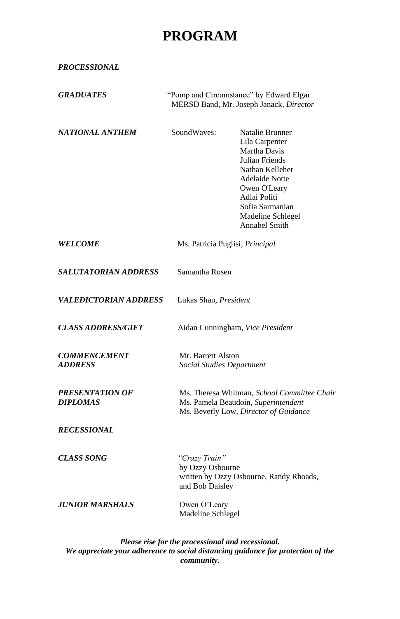## **PROGRAM**

*PROCESSIONAL*

| <i><b>GRADUATES</b></i>               | "Pomp and Circumstance" by Edward Elgar<br>MERSD Band, Mr. Joseph Janack, Director                                          |                                                                                                                                                                                                          |  |
|---------------------------------------|-----------------------------------------------------------------------------------------------------------------------------|----------------------------------------------------------------------------------------------------------------------------------------------------------------------------------------------------------|--|
| NATIONAL ANTHEM                       | SoundWaves:                                                                                                                 | Natalie Brunner<br>Lila Carpenter<br>Martha Davis<br>Julian Friends<br>Nathan Kelleher<br><b>Adelaide Notte</b><br>Owen O'Leary<br>Adlai Politi<br>Sofia Sarmanian<br>Madeline Schlegel<br>Annabel Smith |  |
| <b>WELCOME</b>                        | Ms. Patricia Puglisi, Principal                                                                                             |                                                                                                                                                                                                          |  |
| <i><b>SALUTATORIAN ADDRESS</b></i>    | Samantha Rosen                                                                                                              |                                                                                                                                                                                                          |  |
| <i><b>VALEDICTORIAN ADDRESS</b></i>   | Lukas Shan, President                                                                                                       |                                                                                                                                                                                                          |  |
| <i><b>CLASS ADDRESS/GIFT</b></i>      |                                                                                                                             | Aidan Cunningham, Vice President                                                                                                                                                                         |  |
| <b>COMMENCEMENT</b><br><b>ADDRESS</b> |                                                                                                                             | Mr. Barrett Alston<br>Social Studies Department                                                                                                                                                          |  |
| PRESENTATION OF<br><b>DIPLOMAS</b>    | Ms. Theresa Whitman, School Committee Chair<br>Ms. Pamela Beaudoin, Superintendent<br>Ms. Beverly Low, Director of Guidance |                                                                                                                                                                                                          |  |
| <b>RECESSIONAL</b>                    |                                                                                                                             |                                                                                                                                                                                                          |  |
| <b>CLASS SONG</b>                     | "Crazy Train"                                                                                                               | by Ozzy Osbourne<br>written by Ozzy Osbourne, Randy Rhoads,<br>and Bob Daisley                                                                                                                           |  |
| JUNIOR MARSHALS                       | Owen O'Leary                                                                                                                | Madeline Schlegel                                                                                                                                                                                        |  |

*Please rise for the processional and recessional. We appreciate your adherence to social distancing guidance for protection of the community.*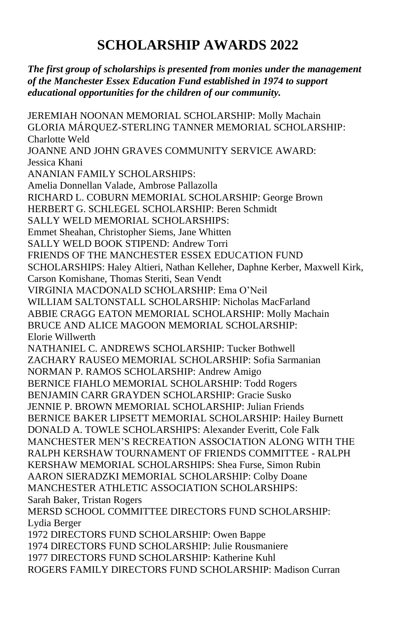## **SCHOLARSHIP AWARDS 2022**

### *The first group of scholarships is presented from monies under the management of the Manchester Essex Education Fund established in 1974 to support educational opportunities for the children of our community.*

JEREMIAH NOONAN MEMORIAL SCHOLARSHIP: Molly Machain GLORIA MÁRQUEZ-STERLING TANNER MEMORIAL SCHOLARSHIP: Charlotte Weld JOANNE AND JOHN GRAVES COMMUNITY SERVICE AWARD: Jessica Khani ANANIAN FAMILY SCHOLARSHIPS: Amelia Donnellan Valade, Ambrose Pallazolla RICHARD L. COBURN MEMORIAL SCHOLARSHIP: George Brown HERBERT G. SCHLEGEL SCHOLARSHIP: Beren Schmidt SALLY WELD MEMORIAL SCHOLARSHIPS: Emmet Sheahan, Christopher Siems, Jane Whitten SALLY WELD BOOK STIPEND: Andrew Torri FRIENDS OF THE MANCHESTER ESSEX EDUCATION FUND SCHOLARSHIPS: Haley Altieri, Nathan Kelleher, Daphne Kerber, Maxwell Kirk, Carson Komishane, Thomas Steriti, Sean Vendt VIRGINIA MACDONALD SCHOLARSHIP: Ema O'Neil WILLIAM SALTONSTALL SCHOLARSHIP: Nicholas MacFarland ABBIE CRAGG EATON MEMORIAL SCHOLARSHIP: Molly Machain BRUCE AND ALICE MAGOON MEMORIAL SCHOLARSHIP: Elorie Willwerth NATHANIEL C. ANDREWS SCHOLARSHIP: Tucker Bothwell ZACHARY RAUSEO MEMORIAL SCHOLARSHIP: Sofia Sarmanian NORMAN P. RAMOS SCHOLARSHIP: Andrew Amigo BERNICE FIAHLO MEMORIAL SCHOLARSHIP: Todd Rogers BENJAMIN CARR GRAYDEN SCHOLARSHIP: Gracie Susko JENNIE P. BROWN MEMORIAL SCHOLARSHIP: Julian Friends BERNICE BAKER LIPSETT MEMORIAL SCHOLARSHIP: Hailey Burnett DONALD A. TOWLE SCHOLARSHIPS: Alexander Everitt, Cole Falk MANCHESTER MEN'S RECREATION ASSOCIATION ALONG WITH THE RALPH KERSHAW TOURNAMENT OF FRIENDS COMMITTEE - RALPH KERSHAW MEMORIAL SCHOLARSHIPS: Shea Furse, Simon Rubin AARON SIERADZKI MEMORIAL SCHOLARSHIP: Colby Doane MANCHESTER ATHLETIC ASSOCIATION SCHOLARSHIPS: Sarah Baker, Tristan Rogers MERSD SCHOOL COMMITTEE DIRECTORS FUND SCHOLARSHIP: Lydia Berger 1972 DIRECTORS FUND SCHOLARSHIP: Owen Bappe 1974 DIRECTORS FUND SCHOLARSHIP: Julie Rousmaniere 1977 DIRECTORS FUND SCHOLARSHIP: Katherine Kuhl

ROGERS FAMILY DIRECTORS FUND SCHOLARSHIP: Madison Curran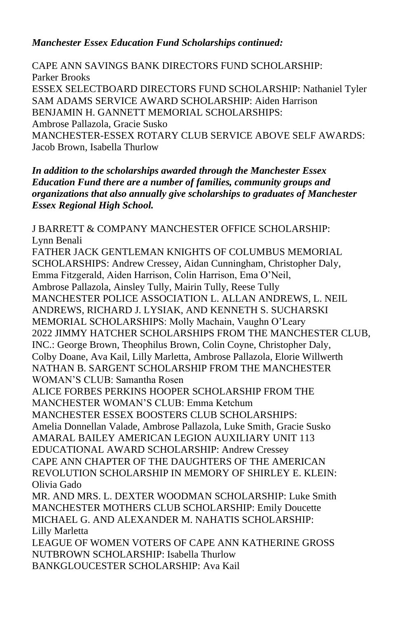#### *Manchester Essex Education Fund Scholarships continued:*

CAPE ANN SAVINGS BANK DIRECTORS FUND SCHOLARSHIP: Parker Brooks ESSEX SELECTBOARD DIRECTORS FUND SCHOLARSHIP: Nathaniel Tyler SAM ADAMS SERVICE AWARD SCHOLARSHIP: Aiden Harrison BENJAMIN H. GANNETT MEMORIAL SCHOLARSHIPS: Ambrose Pallazola, Gracie Susko MANCHESTER-ESSEX ROTARY CLUB SERVICE ABOVE SELF AWARDS: Jacob Brown, Isabella Thurlow

*In addition to the scholarships awarded through the Manchester Essex Education Fund there are a number of families, community groups and organizations that also annually give scholarships to graduates of Manchester Essex Regional High School.* 

J BARRETT & COMPANY MANCHESTER OFFICE SCHOLARSHIP: Lynn Benali FATHER JACK GENTLEMAN KNIGHTS OF COLUMBUS MEMORIAL SCHOLARSHIPS: Andrew Cressey, Aidan Cunningham, Christopher Daly, Emma Fitzgerald, Aiden Harrison, Colin Harrison, Ema O'Neil, Ambrose Pallazola, Ainsley Tully, Mairin Tully, Reese Tully MANCHESTER POLICE ASSOCIATION L. ALLAN ANDREWS, L. NEIL ANDREWS, RICHARD J. LYSIAK, AND KENNETH S. SUCHARSKI MEMORIAL SCHOLARSHIPS: Molly Machain, Vaughn O'Leary 2022 JIMMY HATCHER SCHOLARSHIPS FROM THE MANCHESTER CLUB, INC.: George Brown, Theophilus Brown, Colin Coyne, Christopher Daly, Colby Doane, Ava Kail, Lilly Marletta, Ambrose Pallazola, Elorie Willwerth NATHAN B. SARGENT SCHOLARSHIP FROM THE MANCHESTER WOMAN'S CLUB: Samantha Rosen ALICE FORBES PERKINS HOOPER SCHOLARSHIP FROM THE MANCHESTER WOMAN'S CLUB: Emma Ketchum MANCHESTER ESSEX BOOSTERS CLUB SCHOLARSHIPS: Amelia Donnellan Valade, Ambrose Pallazola, Luke Smith, Gracie Susko AMARAL BAILEY AMERICAN LEGION AUXILIARY UNIT 113 EDUCATIONAL AWARD SCHOLARSHIP: Andrew Cressey CAPE ANN CHAPTER OF THE DAUGHTERS OF THE AMERICAN REVOLUTION SCHOLARSHIP IN MEMORY OF SHIRLEY E. KLEIN: Olivia Gado MR. AND MRS. L. DEXTER WOODMAN SCHOLARSHIP: Luke Smith MANCHESTER MOTHERS CLUB SCHOLARSHIP: Emily Doucette MICHAEL G. AND ALEXANDER M. NAHATIS SCHOLARSHIP: Lilly Marletta LEAGUE OF WOMEN VOTERS OF CAPE ANN KATHERINE GROSS NUTBROWN SCHOLARSHIP: Isabella Thurlow BANKGLOUCESTER SCHOLARSHIP: Ava Kail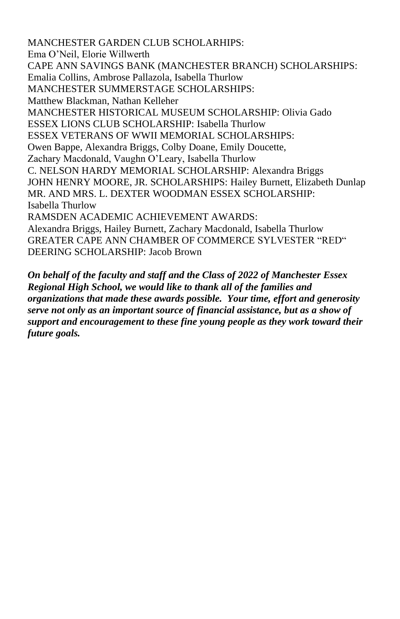MANCHESTER GARDEN CLUB SCHOLARHIPS: Ema O'Neil, Elorie Willwerth CAPE ANN SAVINGS BANK (MANCHESTER BRANCH) SCHOLARSHIPS: Emalia Collins, Ambrose Pallazola, Isabella Thurlow MANCHESTER SUMMERSTAGE SCHOLARSHIPS: Matthew Blackman, Nathan Kelleher MANCHESTER HISTORICAL MUSEUM SCHOLARSHIP: Olivia Gado ESSEX LIONS CLUB SCHOLARSHIP: Isabella Thurlow ESSEX VETERANS OF WWII MEMORIAL SCHOLARSHIPS: Owen Bappe, Alexandra Briggs, Colby Doane, Emily Doucette, Zachary Macdonald, Vaughn O'Leary, Isabella Thurlow C. NELSON HARDY MEMORIAL SCHOLARSHIP: Alexandra Briggs JOHN HENRY MOORE, JR. SCHOLARSHIPS: Hailey Burnett, Elizabeth Dunlap MR. AND MRS. L. DEXTER WOODMAN ESSEX SCHOLARSHIP: Isabella Thurlow RAMSDEN ACADEMIC ACHIEVEMENT AWARDS: Alexandra Briggs, Hailey Burnett, Zachary Macdonald, Isabella Thurlow GREATER CAPE ANN CHAMBER OF COMMERCE SYLVESTER "RED" DEERING SCHOLARSHIP: Jacob Brown

*On behalf of the faculty and staff and the Class of 2022 of Manchester Essex Regional High School, we would like to thank all of the families and organizations that made these awards possible. Your time, effort and generosity serve not only as an important source of financial assistance, but as a show of support and encouragement to these fine young people as they work toward their future goals.*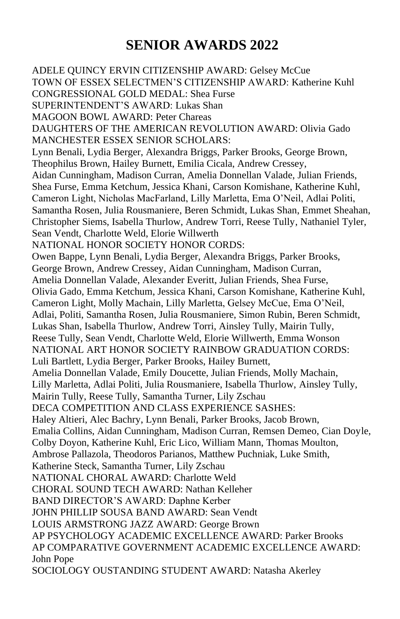## **SENIOR AWARDS 2022**

ADELE QUINCY ERVIN CITIZENSHIP AWARD: Gelsey McCue TOWN OF ESSEX SELECTMEN'S CITIZENSHIP AWARD: Katherine Kuhl CONGRESSIONAL GOLD MEDAL: Shea Furse SUPERINTENDENT'S AWARD: Lukas Shan MAGOON BOWL AWARD: Peter Chareas DAUGHTERS OF THE AMERICAN REVOLUTION AWARD: Olivia Gado MANCHESTER ESSEX SENIOR SCHOLARS: Lynn Benali, Lydia Berger, Alexandra Briggs, Parker Brooks, George Brown, Theophilus Brown, Hailey Burnett, Emilia Cicala, Andrew Cressey, Aidan Cunningham, Madison Curran, Amelia Donnellan Valade, Julian Friends, Shea Furse, Emma Ketchum, Jessica Khani, Carson Komishane, Katherine Kuhl, Cameron Light, Nicholas MacFarland, Lilly Marletta, Ema O'Neil, Adlai Politi, Samantha Rosen, Julia Rousmaniere, Beren Schmidt, Lukas Shan, Emmet Sheahan, Christopher Siems, Isabella Thurlow, Andrew Torri, Reese Tully, Nathaniel Tyler, Sean Vendt, Charlotte Weld, Elorie Willwerth NATIONAL HONOR SOCIETY HONOR CORDS: Owen Bappe, Lynn Benali, Lydia Berger, Alexandra Briggs, Parker Brooks, George Brown, Andrew Cressey, Aidan Cunningham, Madison Curran, Amelia Donnellan Valade, Alexander Everitt, Julian Friends, Shea Furse, Olivia Gado, Emma Ketchum, Jessica Khani, Carson Komishane, Katherine Kuhl, Cameron Light, Molly Machain, Lilly Marletta, Gelsey McCue, Ema O'Neil, Adlai, Politi, Samantha Rosen, Julia Rousmaniere, Simon Rubin, Beren Schmidt, Lukas Shan, Isabella Thurlow, Andrew Torri, Ainsley Tully, Mairin Tully, Reese Tully, Sean Vendt, Charlotte Weld, Elorie Willwerth, Emma Wonson NATIONAL ART HONOR SOCIETY RAINBOW GRADUATION CORDS: Luli Bartlett, Lydia Berger, Parker Brooks, Hailey Burnett, Amelia Donnellan Valade, Emily Doucette, Julian Friends, Molly Machain, Lilly Marletta, Adlai Politi, Julia Rousmaniere, Isabella Thurlow, Ainsley Tully, Mairin Tully, Reese Tully, Samantha Turner, Lily Zschau DECA COMPETITION AND CLASS EXPERIENCE SASHES: Haley Altieri, Alec Bachry, Lynn Benali, Parker Brooks, Jacob Brown, Emalia Collins, Aidan Cunningham, Madison Curran, Remsen Demeo, Cian Doyle, Colby Doyon, Katherine Kuhl, Eric Lico, William Mann, Thomas Moulton, Ambrose Pallazola, Theodoros Parianos, Matthew Puchniak, Luke Smith, Katherine Steck, Samantha Turner, Lily Zschau NATIONAL CHORAL AWARD: Charlotte Weld CHORAL SOUND TECH AWARD: Nathan Kelleher BAND DIRECTOR'S AWARD: Daphne Kerber JOHN PHILLIP SOUSA BAND AWARD: Sean Vendt LOUIS ARMSTRONG JAZZ AWARD: George Brown AP PSYCHOLOGY ACADEMIC EXCELLENCE AWARD: Parker Brooks AP COMPARATIVE GOVERNMENT ACADEMIC EXCELLENCE AWARD: John Pope SOCIOLOGY OUSTANDING STUDENT AWARD: Natasha Akerley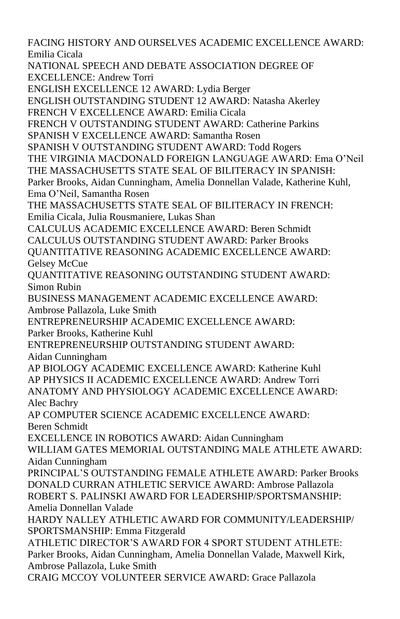FACING HISTORY AND OURSELVES ACADEMIC EXCELLENCE AWARD: Emilia Cicala

NATIONAL SPEECH AND DEBATE ASSOCIATION DEGREE OF EXCELLENCE: Andrew Torri

ENGLISH EXCELLENCE 12 AWARD: Lydia Berger

ENGLISH OUTSTANDING STUDENT 12 AWARD: Natasha Akerley

FRENCH V EXCELLENCE AWARD: Emilia Cicala

FRENCH V OUTSTANDING STUDENT AWARD: Catherine Parkins

SPANISH V EXCELLENCE AWARD: Samantha Rosen

SPANISH V OUTSTANDING STUDENT AWARD: Todd Rogers

THE VIRGINIA MACDONALD FOREIGN LANGUAGE AWARD: Ema O'Neil

THE MASSACHUSETTS STATE SEAL OF BILITERACY IN SPANISH: Parker Brooks, Aidan Cunningham, Amelia Donnellan Valade, Katherine Kuhl, Ema O'Neil, Samantha Rosen

THE MASSACHUSETTS STATE SEAL OF BILITERACY IN FRENCH: Emilia Cicala, Julia Rousmaniere, Lukas Shan

CALCULUS ACADEMIC EXCELLENCE AWARD: Beren Schmidt CALCULUS OUTSTANDING STUDENT AWARD: Parker Brooks QUANTITATIVE REASONING ACADEMIC EXCELLENCE AWARD: Gelsey McCue

QUANTITATIVE REASONING OUTSTANDING STUDENT AWARD: Simon Rubin

BUSINESS MANAGEMENT ACADEMIC EXCELLENCE AWARD: Ambrose Pallazola, Luke Smith

ENTREPRENEURSHIP ACADEMIC EXCELLENCE AWARD: Parker Brooks, Katherine Kuhl

ENTREPRENEURSHIP OUTSTANDING STUDENT AWARD: Aidan Cunningham

AP BIOLOGY ACADEMIC EXCELLENCE AWARD: Katherine Kuhl AP PHYSICS II ACADEMIC EXCELLENCE AWARD: Andrew Torri ANATOMY AND PHYSIOLOGY ACADEMIC EXCELLENCE AWARD: Alec Bachry

AP COMPUTER SCIENCE ACADEMIC EXCELLENCE AWARD: Beren Schmidt

EXCELLENCE IN ROBOTICS AWARD: Aidan Cunningham WILLIAM GATES MEMORIAL OUTSTANDING MALE ATHLETE AWARD: Aidan Cunningham

PRINCIPAL'S OUTSTANDING FEMALE ATHLETE AWARD: Parker Brooks DONALD CURRAN ATHLETIC SERVICE AWARD: Ambrose Pallazola ROBERT S. PALINSKI AWARD FOR LEADERSHIP/SPORTSMANSHIP: Amelia Donnellan Valade

HARDY NALLEY ATHLETIC AWARD FOR COMMUNITY/LEADERSHIP/ SPORTSMANSHIP: Emma Fitzgerald

ATHLETIC DIRECTOR'S AWARD FOR 4 SPORT STUDENT ATHLETE: Parker Brooks, Aidan Cunningham, Amelia Donnellan Valade, Maxwell Kirk, Ambrose Pallazola, Luke Smith

CRAIG MCCOY VOLUNTEER SERVICE AWARD: Grace Pallazola